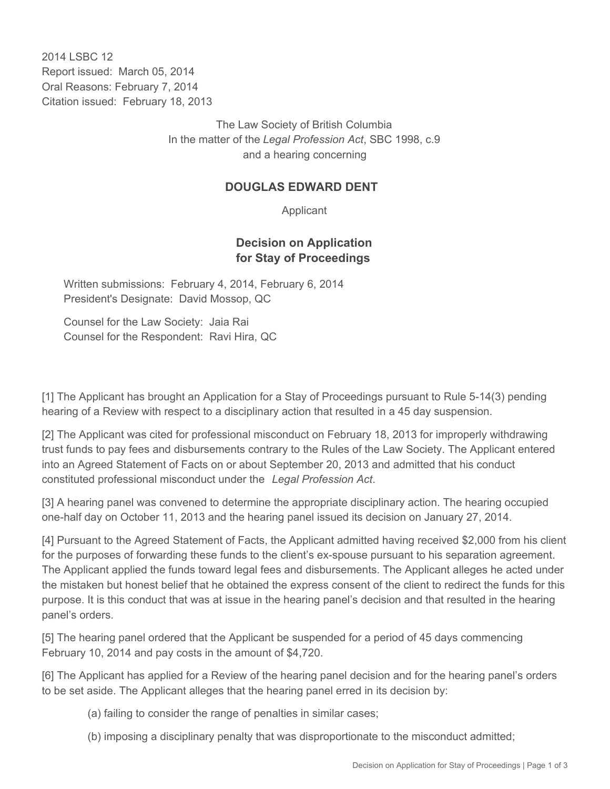2014 I SBC 12 Report issued: March 05, 2014 Oral Reasons: February 7, 2014 Citation issued: February 18, 2013

> The Law Society of British Columbia In the matter of the *Legal Profession Act*, SBC 1998, c.9 and a hearing concerning

#### **DOUGLAS EDWARD DENT**

Applicant

### **Decision on Application for Stay of Proceedings**

Written submissions: February 4, 2014, February 6, 2014 President's Designate: David Mossop, QC

Counsel for the Law Society: Jaia Rai Counsel for the Respondent: Ravi Hira, QC

[1] The Applicant has brought an Application for a Stay of Proceedings pursuant to Rule 5-14(3) pending hearing of a Review with respect to a disciplinary action that resulted in a 45 day suspension.

[2] The Applicant was cited for professional misconduct on February 18, 2013 for improperly withdrawing trust funds to pay fees and disbursements contrary to the Rules of the Law Society. The Applicant entered into an Agreed Statement of Facts on or about September 20, 2013 and admitted that his conduct constituted professional misconduct under the *Legal Profession Act*.

[3] A hearing panel was convened to determine the appropriate disciplinary action. The hearing occupied one-half day on October 11, 2013 and the hearing panel issued its decision on January 27, 2014.

[4] Pursuant to the Agreed Statement of Facts, the Applicant admitted having received \$2,000 from his client for the purposes of forwarding these funds to the client's ex-spouse pursuant to his separation agreement. The Applicant applied the funds toward legal fees and disbursements. The Applicant alleges he acted under the mistaken but honest belief that he obtained the express consent of the client to redirect the funds for this purpose. It is this conduct that was at issue in the hearing panel's decision and that resulted in the hearing panel's orders.

[5] The hearing panel ordered that the Applicant be suspended for a period of 45 days commencing February 10, 2014 and pay costs in the amount of \$4,720.

[6] The Applicant has applied for a Review of the hearing panel decision and for the hearing panel's orders to be set aside. The Applicant alleges that the hearing panel erred in its decision by:

- (a) failing to consider the range of penalties in similar cases;
- (b) imposing a disciplinary penalty that was disproportionate to the misconduct admitted;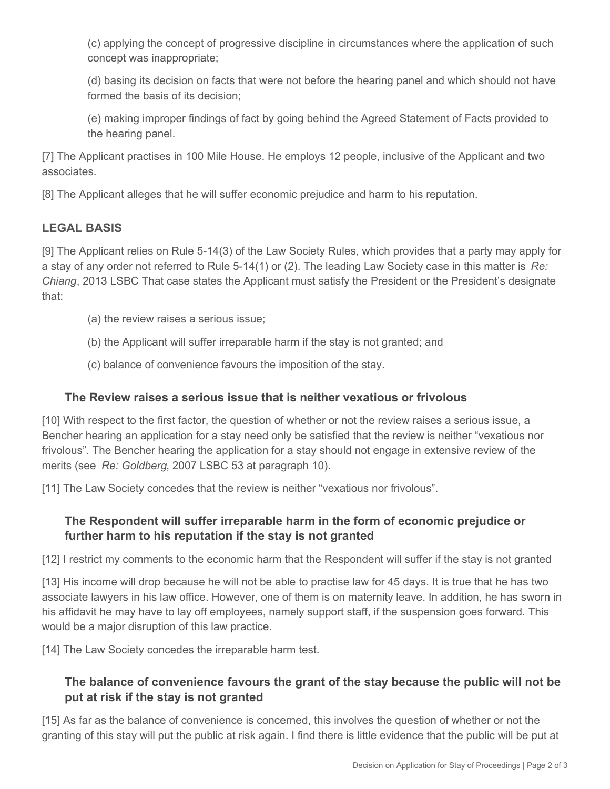(c) applying the concept of progressive discipline in circumstances where the application of such concept was inappropriate;

(d) basing its decision on facts that were not before the hearing panel and which should not have formed the basis of its decision;

(e) making improper findings of fact by going behind the Agreed Statement of Facts provided to the hearing panel.

[7] The Applicant practises in 100 Mile House. He employs 12 people, inclusive of the Applicant and two associates.

[8] The Applicant alleges that he will suffer economic prejudice and harm to his reputation.

## **LEGAL BASIS**

[9] The Applicant relies on Rule 5-14(3) of the Law Society Rules, which provides that a party may apply for a stay of any order not referred to Rule 5-14(1) or (2). The leading Law Society case in this matter is *Re: Chiang*, 2013 LSBC That case states the Applicant must satisfy the President or the President's designate that:

- (a) the review raises a serious issue;
- (b) the Applicant will suffer irreparable harm if the stay is not granted; and
- (c) balance of convenience favours the imposition of the stay.

### **The Review raises a serious issue that is neither vexatious or frivolous**

[10] With respect to the first factor, the question of whether or not the review raises a serious issue, a Bencher hearing an application for a stay need only be satisfied that the review is neither "vexatious nor frivolous". The Bencher hearing the application for a stay should not engage in extensive review of the merits (see *Re: Goldberg*, 2007 LSBC 53 at paragraph 10).

[11] The Law Society concedes that the review is neither "vexatious nor frivolous".

## **The Respondent will suffer irreparable harm in the form of economic prejudice or further harm to his reputation if the stay is not granted**

[12] I restrict my comments to the economic harm that the Respondent will suffer if the stay is not granted

[13] His income will drop because he will not be able to practise law for 45 days. It is true that he has two associate lawyers in his law office. However, one of them is on maternity leave. In addition, he has sworn in his affidavit he may have to lay off employees, namely support staff, if the suspension goes forward. This would be a major disruption of this law practice.

[14] The Law Society concedes the irreparable harm test.

# **The balance of convenience favours the grant of the stay because the public will not be put at risk if the stay is not granted**

[15] As far as the balance of convenience is concerned, this involves the question of whether or not the granting of this stay will put the public at risk again. I find there is little evidence that the public will be put at